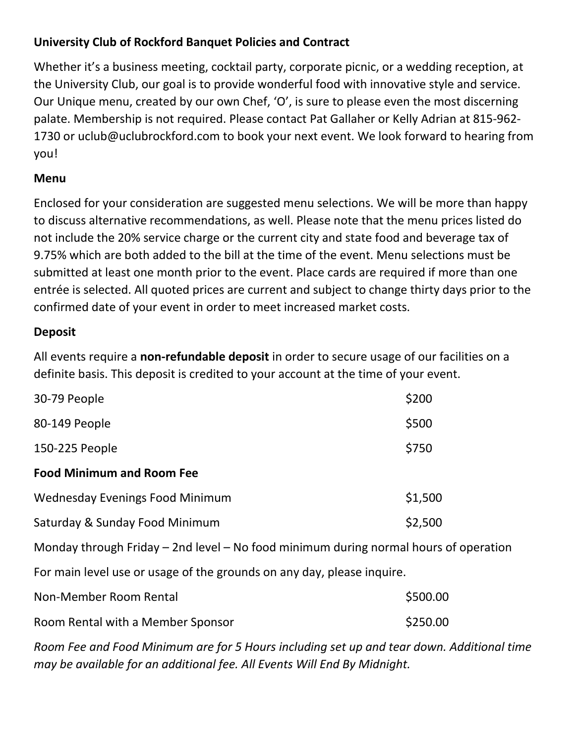## **University Club of Rockford Banquet Policies and Contract**

Whether it's a business meeting, cocktail party, corporate picnic, or a wedding reception, at the University Club, our goal is to provide wonderful food with innovative style and service. Our Unique menu, created by our own Chef, 'O', is sure to please even the most discerning palate. Membership is not required. Please contact Pat Gallaher or Kelly Adrian at 815-962- 1730 or uclub@uclubrockford.com to book your next event. We look forward to hearing from you!

### **Menu**

Enclosed for your consideration are suggested menu selections. We will be more than happy to discuss alternative recommendations, as well. Please note that the menu prices listed do not include the 20% service charge or the current city and state food and beverage tax of 9.75% which are both added to the bill at the time of the event. Menu selections must be submitted at least one month prior to the event. Place cards are required if more than one entrée is selected. All quoted prices are current and subject to change thirty days prior to the confirmed date of your event in order to meet increased market costs.

#### **Deposit**

All events require a **non-refundable deposit** in order to secure usage of our facilities on a definite basis. This deposit is credited to your account at the time of your event.

| 30-79 People                     | \$200   |
|----------------------------------|---------|
| 80-149 People                    | \$500   |
| 150-225 People                   | \$750   |
| <b>Food Minimum and Room Fee</b> |         |
| Wednesday Evenings Food Minimum  | \$1,500 |
| Saturday & Sunday Food Minimum   | \$2,500 |

Monday through Friday – 2nd level – No food minimum during normal hours of operation

For main level use or usage of the grounds on any day, please inquire.

| Non-Member Room Rental            | \$500.00 |
|-----------------------------------|----------|
| Room Rental with a Member Sponsor | \$250.00 |

*Room Fee and Food Minimum are for 5 Hours including set up and tear down. Additional time may be available for an additional fee. All Events Will End By Midnight.*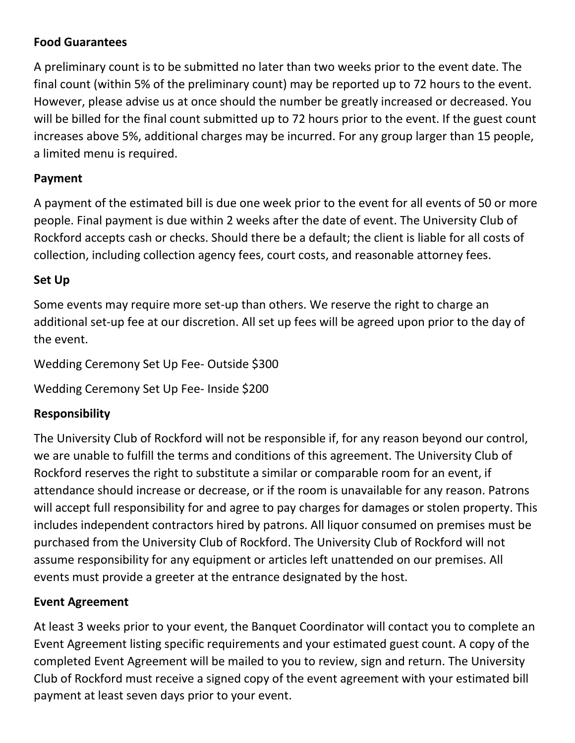## **Food Guarantees**

A preliminary count is to be submitted no later than two weeks prior to the event date. The final count (within 5% of the preliminary count) may be reported up to 72 hours to the event. However, please advise us at once should the number be greatly increased or decreased. You will be billed for the final count submitted up to 72 hours prior to the event. If the guest count increases above 5%, additional charges may be incurred. For any group larger than 15 people, a limited menu is required.

#### **Payment**

A payment of the estimated bill is due one week prior to the event for all events of 50 or more people. Final payment is due within 2 weeks after the date of event. The University Club of Rockford accepts cash or checks. Should there be a default; the client is liable for all costs of collection, including collection agency fees, court costs, and reasonable attorney fees.

### **Set Up**

Some events may require more set-up than others. We reserve the right to charge an additional set-up fee at our discretion. All set up fees will be agreed upon prior to the day of the event.

Wedding Ceremony Set Up Fee- Outside \$300

Wedding Ceremony Set Up Fee- Inside \$200

# **Responsibility**

The University Club of Rockford will not be responsible if, for any reason beyond our control, we are unable to fulfill the terms and conditions of this agreement. The University Club of Rockford reserves the right to substitute a similar or comparable room for an event, if attendance should increase or decrease, or if the room is unavailable for any reason. Patrons will accept full responsibility for and agree to pay charges for damages or stolen property. This includes independent contractors hired by patrons. All liquor consumed on premises must be purchased from the University Club of Rockford. The University Club of Rockford will not assume responsibility for any equipment or articles left unattended on our premises. All events must provide a greeter at the entrance designated by the host.

#### **Event Agreement**

At least 3 weeks prior to your event, the Banquet Coordinator will contact you to complete an Event Agreement listing specific requirements and your estimated guest count. A copy of the completed Event Agreement will be mailed to you to review, sign and return. The University Club of Rockford must receive a signed copy of the event agreement with your estimated bill payment at least seven days prior to your event.